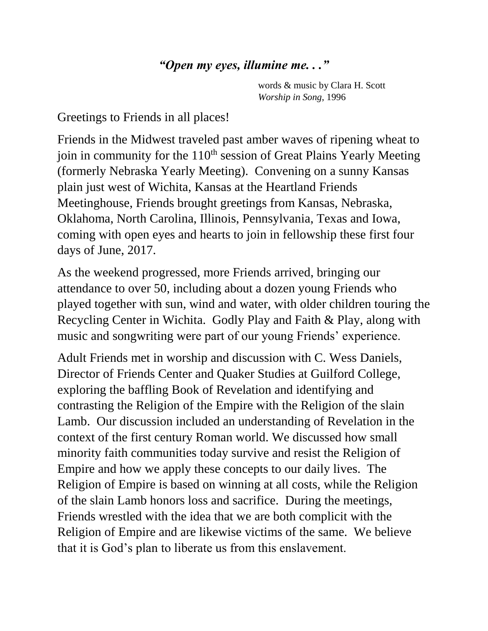## *"Open my eyes, illumine me. . ."*

words & music by Clara H. Scott *Worship in Song*, 1996

Greetings to Friends in all places!

Friends in the Midwest traveled past amber waves of ripening wheat to join in community for the 110<sup>th</sup> session of Great Plains Yearly Meeting (formerly Nebraska Yearly Meeting). Convening on a sunny Kansas plain just west of Wichita, Kansas at the Heartland Friends Meetinghouse, Friends brought greetings from Kansas, Nebraska, Oklahoma, North Carolina, Illinois, Pennsylvania, Texas and Iowa, coming with open eyes and hearts to join in fellowship these first four days of June, 2017.

As the weekend progressed, more Friends arrived, bringing our attendance to over 50, including about a dozen young Friends who played together with sun, wind and water, with older children touring the Recycling Center in Wichita. Godly Play and Faith & Play, along with music and songwriting were part of our young Friends' experience.

Adult Friends met in worship and discussion with C. Wess Daniels, Director of Friends Center and Quaker Studies at Guilford College, exploring the baffling Book of Revelation and identifying and contrasting the Religion of the Empire with the Religion of the slain Lamb. Our discussion included an understanding of Revelation in the context of the first century Roman world. We discussed how small minority faith communities today survive and resist the Religion of Empire and how we apply these concepts to our daily lives. The Religion of Empire is based on winning at all costs, while the Religion of the slain Lamb honors loss and sacrifice. During the meetings, Friends wrestled with the idea that we are both complicit with the Religion of Empire and are likewise victims of the same. We believe that it is God's plan to liberate us from this enslavement.